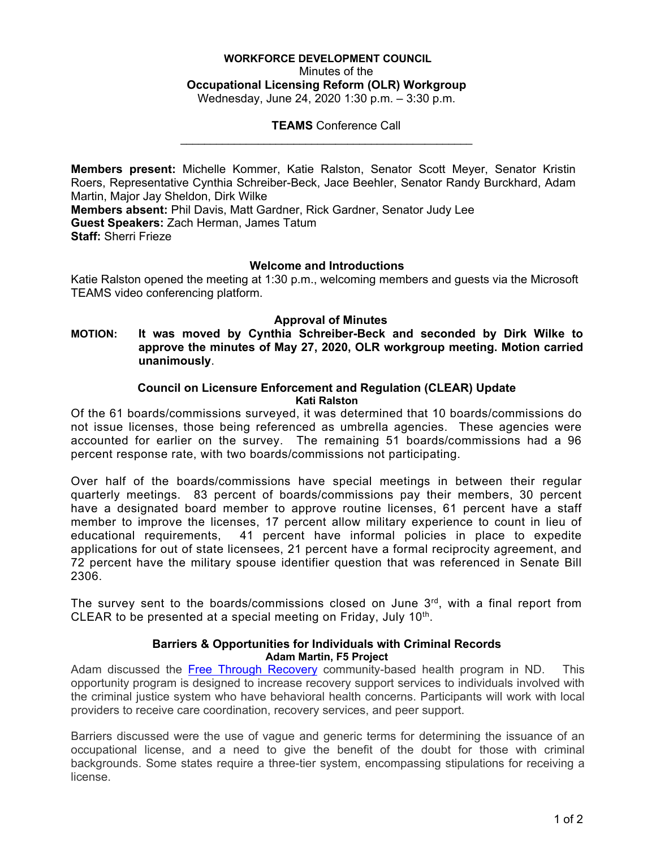# **WORKFORCE DEVELOPMENT COUNCIL**  Minutes of the **Occupational Licensing Reform (OLR) Workgroup**  Wednesday, June 24, 2020 1:30 p.m. – 3:30 p.m.

**TEAMS** Conference Call

 $\mathcal{L}_\text{max}$  and  $\mathcal{L}_\text{max}$  and  $\mathcal{L}_\text{max}$  and  $\mathcal{L}_\text{max}$  and  $\mathcal{L}_\text{max}$ 

**Members present:** Michelle Kommer, Katie Ralston, Senator Scott Meyer, Senator Kristin Roers, Representative Cynthia Schreiber-Beck, Jace Beehler, Senator Randy Burckhard, Adam Martin, Major Jay Sheldon, Dirk Wilke **Members absent:** Phil Davis, Matt Gardner, Rick Gardner, Senator Judy Lee **Guest Speakers:** Zach Herman, James Tatum **Staff:** Sherri Frieze

#### **Welcome and Introductions**

Katie Ralston opened the meeting at 1:30 p.m., welcoming members and guests via the Microsoft TEAMS video conferencing platform.

#### **Approval of Minutes**

**MOTION: It was moved by Cynthia Schreiber-Beck and seconded by Dirk Wilke to approve the minutes of May 27, 2020, OLR workgroup meeting. Motion carried unanimously**.

### **Council on Licensure Enforcement and Regulation (CLEAR) Update Kati Ralston**

Of the 61 boards/commissions surveyed, it was determined that 10 boards/commissions do not issue licenses, those being referenced as umbrella agencies. These agencies were accounted for earlier on the survey. The remaining 51 boards/commissions had a 96 percent response rate, with two boards/commissions not participating.

Over half of the boards/commissions have special meetings in between their regular quarterly meetings. 83 percent of boards/commissions pay their members, 30 percent have a designated board member to approve routine licenses, 61 percent have a staff member to improve the licenses, 17 percent allow military experience to count in lieu of educational requirements, 41 percent have informal policies in place to expedite applications for out of state licensees, 21 percent have a formal reciprocity agreement, and 72 percent have the military spouse identifier question that was referenced in Senate Bill 2306.

The survey sent to the boards/commissions closed on June  $3<sup>rd</sup>$ , with a final report from CLEAR to be presented at a special meeting on Friday, July 10<sup>th</sup>.

#### **Barriers & Opportunities for Individuals with Criminal Records Adam Martin, F5 Project**

Adam discussed the Free Through Recovery community-based health program in ND. This opportunity program is designed to increase recovery support services to individuals involved with the criminal justice system who have behavioral health concerns. Participants will work with local providers to receive care coordination, recovery services, and peer support.

Barriers discussed were the use of vague and generic terms for determining the issuance of an occupational license, and a need to give the benefit of the doubt for those with criminal backgrounds. Some states require a three-tier system, encompassing stipulations for receiving a license.